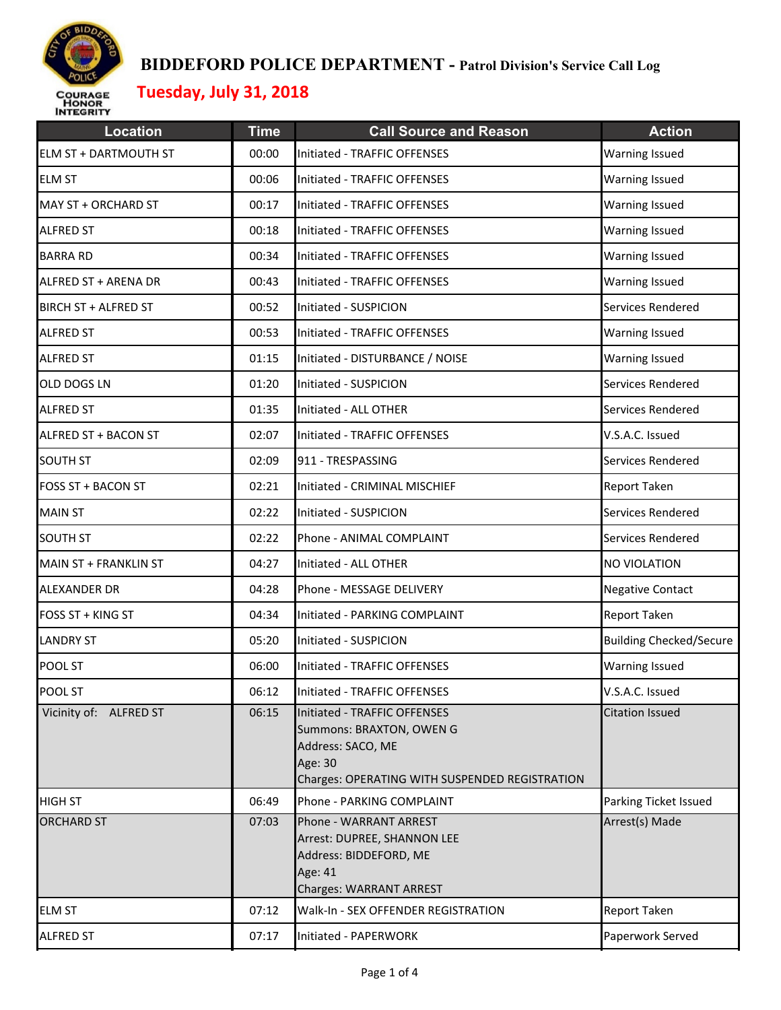

| <b>Location</b>             | <b>Time</b> | <b>Call Source and Reason</b>                                                                                                              | <b>Action</b>                  |
|-----------------------------|-------------|--------------------------------------------------------------------------------------------------------------------------------------------|--------------------------------|
| ELM ST + DARTMOUTH ST       | 00:00       | Initiated - TRAFFIC OFFENSES                                                                                                               | <b>Warning Issued</b>          |
| <b>ELM ST</b>               | 00:06       | Initiated - TRAFFIC OFFENSES                                                                                                               | <b>Warning Issued</b>          |
| MAY ST + ORCHARD ST         | 00:17       | Initiated - TRAFFIC OFFENSES                                                                                                               | <b>Warning Issued</b>          |
| <b>ALFRED ST</b>            | 00:18       | Initiated - TRAFFIC OFFENSES                                                                                                               | Warning Issued                 |
| <b>BARRA RD</b>             | 00:34       | Initiated - TRAFFIC OFFENSES                                                                                                               | <b>Warning Issued</b>          |
| ALFRED ST + ARENA DR        | 00:43       | Initiated - TRAFFIC OFFENSES                                                                                                               | <b>Warning Issued</b>          |
| <b>BIRCH ST + ALFRED ST</b> | 00:52       | Initiated - SUSPICION                                                                                                                      | Services Rendered              |
| <b>ALFRED ST</b>            | 00:53       | Initiated - TRAFFIC OFFENSES                                                                                                               | <b>Warning Issued</b>          |
| <b>ALFRED ST</b>            | 01:15       | Initiated - DISTURBANCE / NOISE                                                                                                            | Warning Issued                 |
| OLD DOGS LN                 | 01:20       | Initiated - SUSPICION                                                                                                                      | Services Rendered              |
| <b>ALFRED ST</b>            | 01:35       | Initiated - ALL OTHER                                                                                                                      | Services Rendered              |
| ALFRED ST + BACON ST        | 02:07       | Initiated - TRAFFIC OFFENSES                                                                                                               | V.S.A.C. Issued                |
| <b>SOUTH ST</b>             | 02:09       | 911 - TRESPASSING                                                                                                                          | Services Rendered              |
| FOSS ST + BACON ST          | 02:21       | Initiated - CRIMINAL MISCHIEF                                                                                                              | Report Taken                   |
| <b>MAIN ST</b>              | 02:22       | Initiated - SUSPICION                                                                                                                      | Services Rendered              |
| <b>SOUTH ST</b>             | 02:22       | Phone - ANIMAL COMPLAINT                                                                                                                   | Services Rendered              |
| MAIN ST + FRANKLIN ST       | 04:27       | Initiated - ALL OTHER                                                                                                                      | NO VIOLATION                   |
| ALEXANDER DR                | 04:28       | Phone - MESSAGE DELIVERY                                                                                                                   | <b>Negative Contact</b>        |
| FOSS ST + KING ST           | 04:34       | Initiated - PARKING COMPLAINT                                                                                                              | <b>Report Taken</b>            |
| <b>LANDRY ST</b>            | 05:20       | Initiated - SUSPICION                                                                                                                      | <b>Building Checked/Secure</b> |
| POOL ST                     | 06:00       | Initiated - TRAFFIC OFFENSES                                                                                                               | <b>Warning Issued</b>          |
| POOL ST                     | 06:12       | Initiated - TRAFFIC OFFENSES                                                                                                               | V.S.A.C. Issued                |
| Vicinity of: ALFRED ST      | 06:15       | Initiated - TRAFFIC OFFENSES<br>Summons: BRAXTON, OWEN G<br>Address: SACO, ME<br>Age: 30<br>Charges: OPERATING WITH SUSPENDED REGISTRATION | <b>Citation Issued</b>         |
| <b>HIGH ST</b>              | 06:49       | Phone - PARKING COMPLAINT                                                                                                                  | Parking Ticket Issued          |
| <b>ORCHARD ST</b>           | 07:03       | Phone - WARRANT ARREST<br>Arrest: DUPREE, SHANNON LEE<br>Address: BIDDEFORD, ME<br>Age: 41<br><b>Charges: WARRANT ARREST</b>               | Arrest(s) Made                 |
| ELM ST                      | 07:12       | Walk-In - SEX OFFENDER REGISTRATION                                                                                                        | Report Taken                   |
| <b>ALFRED ST</b>            | 07:17       | Initiated - PAPERWORK                                                                                                                      | Paperwork Served               |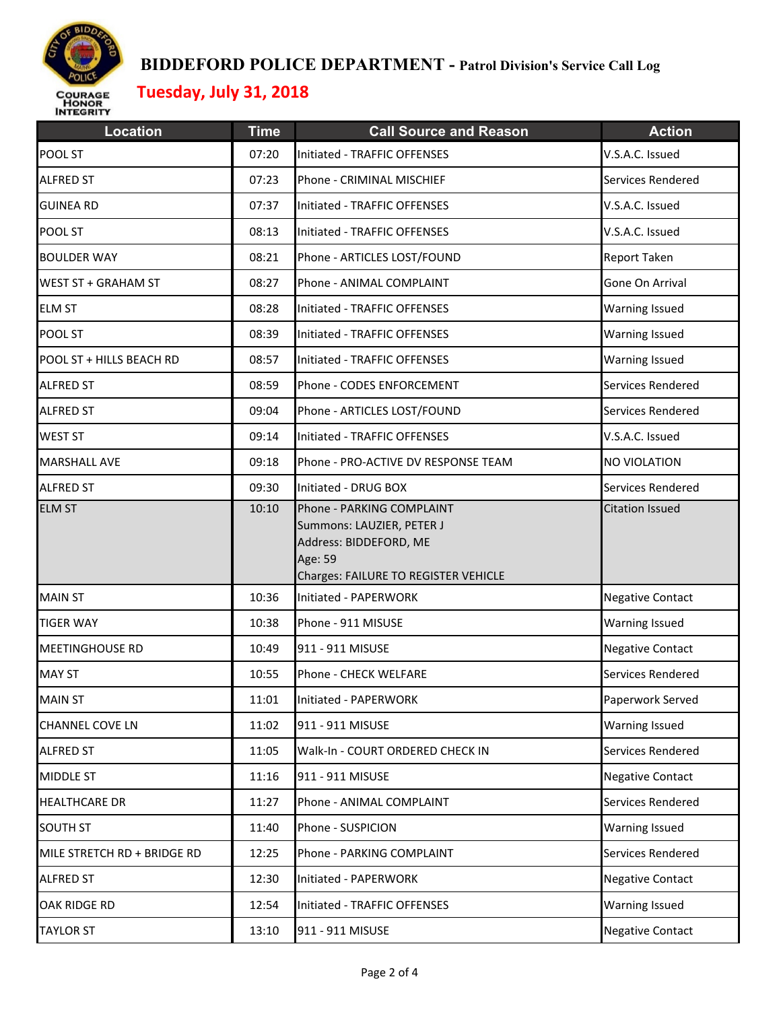

| <b>Location</b>             | <b>Time</b> | <b>Call Source and Reason</b>                                                                                                       | <b>Action</b>           |
|-----------------------------|-------------|-------------------------------------------------------------------------------------------------------------------------------------|-------------------------|
| POOL ST                     | 07:20       | Initiated - TRAFFIC OFFENSES                                                                                                        | V.S.A.C. Issued         |
| <b>ALFRED ST</b>            | 07:23       | Phone - CRIMINAL MISCHIEF                                                                                                           | Services Rendered       |
| <b>GUINEA RD</b>            | 07:37       | Initiated - TRAFFIC OFFENSES                                                                                                        | V.S.A.C. Issued         |
| POOL ST                     | 08:13       | Initiated - TRAFFIC OFFENSES                                                                                                        | V.S.A.C. Issued         |
| <b>BOULDER WAY</b>          | 08:21       | Phone - ARTICLES LOST/FOUND                                                                                                         | Report Taken            |
| WEST ST + GRAHAM ST         | 08:27       | Phone - ANIMAL COMPLAINT                                                                                                            | Gone On Arrival         |
| <b>ELM ST</b>               | 08:28       | Initiated - TRAFFIC OFFENSES                                                                                                        | Warning Issued          |
| POOL ST                     | 08:39       | Initiated - TRAFFIC OFFENSES                                                                                                        | Warning Issued          |
| POOL ST + HILLS BEACH RD    | 08:57       | Initiated - TRAFFIC OFFENSES                                                                                                        | <b>Warning Issued</b>   |
| <b>ALFRED ST</b>            | 08:59       | Phone - CODES ENFORCEMENT                                                                                                           | Services Rendered       |
| <b>ALFRED ST</b>            | 09:04       | Phone - ARTICLES LOST/FOUND                                                                                                         | Services Rendered       |
| <b>WEST ST</b>              | 09:14       | Initiated - TRAFFIC OFFENSES                                                                                                        | V.S.A.C. Issued         |
| <b>MARSHALL AVE</b>         | 09:18       | Phone - PRO-ACTIVE DV RESPONSE TEAM                                                                                                 | NO VIOLATION            |
| <b>ALFRED ST</b>            | 09:30       | Initiated - DRUG BOX                                                                                                                | Services Rendered       |
| <b>ELM ST</b>               | 10:10       | Phone - PARKING COMPLAINT<br>Summons: LAUZIER, PETER J<br>Address: BIDDEFORD, ME<br>Age: 59<br>Charges: FAILURE TO REGISTER VEHICLE | <b>Citation Issued</b>  |
| <b>MAIN ST</b>              | 10:36       | Initiated - PAPERWORK                                                                                                               | <b>Negative Contact</b> |
| <b>TIGER WAY</b>            | 10:38       | Phone - 911 MISUSE                                                                                                                  | <b>Warning Issued</b>   |
| MEETINGHOUSE RD             | 10:49       | 911 - 911 MISUSE                                                                                                                    | <b>Negative Contact</b> |
| <b>MAY ST</b>               | 10:55       | Phone - CHECK WELFARE                                                                                                               | Services Rendered       |
| <b>MAIN ST</b>              | 11:01       | Initiated - PAPERWORK                                                                                                               | Paperwork Served        |
| <b>CHANNEL COVE LN</b>      | 11:02       | 911 - 911 MISUSE                                                                                                                    | Warning Issued          |
| <b>ALFRED ST</b>            | 11:05       | Walk-In - COURT ORDERED CHECK IN                                                                                                    | Services Rendered       |
| <b>MIDDLE ST</b>            | 11:16       | 911 - 911 MISUSE                                                                                                                    | <b>Negative Contact</b> |
| <b>HEALTHCARE DR</b>        | 11:27       | Phone - ANIMAL COMPLAINT                                                                                                            | Services Rendered       |
| <b>SOUTH ST</b>             | 11:40       | Phone - SUSPICION                                                                                                                   | Warning Issued          |
| MILE STRETCH RD + BRIDGE RD | 12:25       | Phone - PARKING COMPLAINT                                                                                                           | Services Rendered       |
| <b>ALFRED ST</b>            | 12:30       | Initiated - PAPERWORK                                                                                                               | <b>Negative Contact</b> |
| OAK RIDGE RD                | 12:54       | Initiated - TRAFFIC OFFENSES                                                                                                        | <b>Warning Issued</b>   |
| <b>TAYLOR ST</b>            | 13:10       | 911 - 911 MISUSE                                                                                                                    | <b>Negative Contact</b> |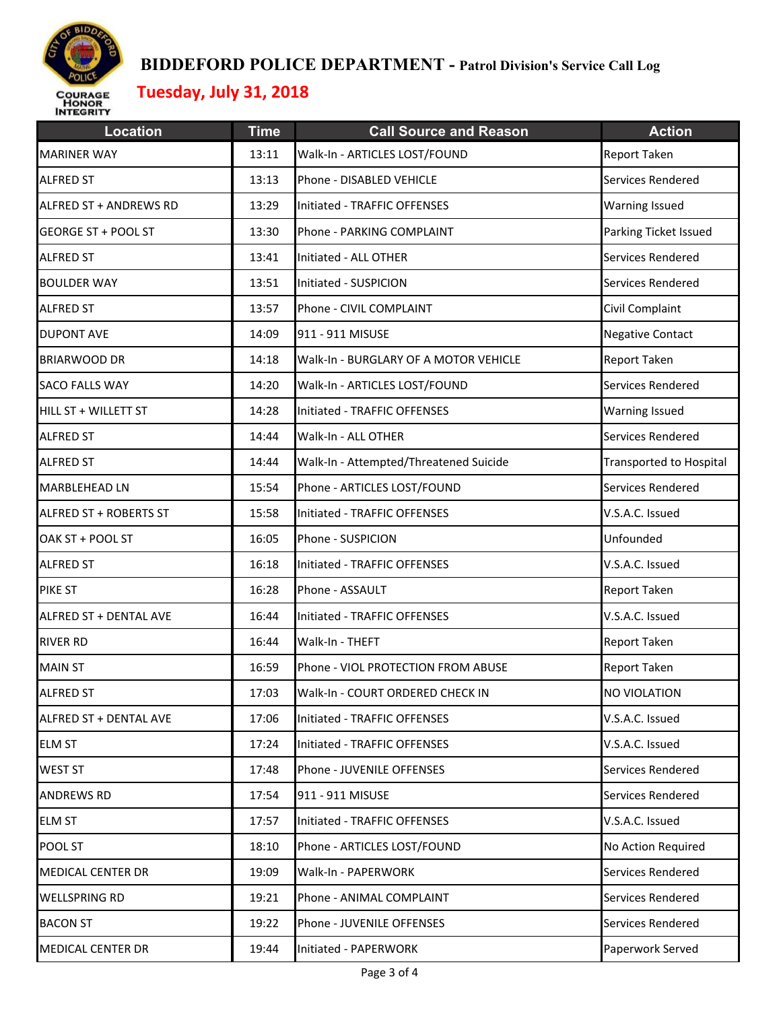

| <b>Location</b>            | <b>Time</b> | <b>Call Source and Reason</b>          | <b>Action</b>           |
|----------------------------|-------------|----------------------------------------|-------------------------|
| <b>MARINER WAY</b>         | 13:11       | Walk-In - ARTICLES LOST/FOUND          | Report Taken            |
| <b>ALFRED ST</b>           | 13:13       | Phone - DISABLED VEHICLE               | Services Rendered       |
| ALFRED ST + ANDREWS RD     | 13:29       | Initiated - TRAFFIC OFFENSES           | Warning Issued          |
| <b>GEORGE ST + POOL ST</b> | 13:30       | Phone - PARKING COMPLAINT              | Parking Ticket Issued   |
| <b>ALFRED ST</b>           | 13:41       | Initiated - ALL OTHER                  | Services Rendered       |
| <b>BOULDER WAY</b>         | 13:51       | Initiated - SUSPICION                  | Services Rendered       |
| <b>ALFRED ST</b>           | 13:57       | Phone - CIVIL COMPLAINT                | Civil Complaint         |
| <b>DUPONT AVE</b>          | 14:09       | 911 - 911 MISUSE                       | <b>Negative Contact</b> |
| <b>BRIARWOOD DR</b>        | 14:18       | Walk-In - BURGLARY OF A MOTOR VEHICLE  | Report Taken            |
| <b>SACO FALLS WAY</b>      | 14:20       | Walk-In - ARTICLES LOST/FOUND          | Services Rendered       |
| HILL ST + WILLETT ST       | 14:28       | Initiated - TRAFFIC OFFENSES           | <b>Warning Issued</b>   |
| <b>ALFRED ST</b>           | 14:44       | Walk-In - ALL OTHER                    | Services Rendered       |
| <b>ALFRED ST</b>           | 14:44       | Walk-In - Attempted/Threatened Suicide | Transported to Hospital |
| <b>MARBLEHEAD LN</b>       | 15:54       | Phone - ARTICLES LOST/FOUND            | Services Rendered       |
| ALFRED ST + ROBERTS ST     | 15:58       | Initiated - TRAFFIC OFFENSES           | V.S.A.C. Issued         |
| OAK ST + POOL ST           | 16:05       | Phone - SUSPICION                      | Unfounded               |
| <b>ALFRED ST</b>           | 16:18       | Initiated - TRAFFIC OFFENSES           | V.S.A.C. Issued         |
| <b>PIKE ST</b>             | 16:28       | Phone - ASSAULT                        | Report Taken            |
| ALFRED ST + DENTAL AVE     | 16:44       | Initiated - TRAFFIC OFFENSES           | V.S.A.C. Issued         |
| <b>RIVER RD</b>            | 16:44       | Walk-In - THEFT                        | Report Taken            |
| <b>MAIN ST</b>             | 16:59       | Phone - VIOL PROTECTION FROM ABUSE     | Report Taken            |
| <b>ALFRED ST</b>           | 17:03       | Walk-In - COURT ORDERED CHECK IN       | NO VIOLATION            |
| ALFRED ST + DENTAL AVE     | 17:06       | Initiated - TRAFFIC OFFENSES           | V.S.A.C. Issued         |
| <b>ELM ST</b>              | 17:24       | Initiated - TRAFFIC OFFENSES           | V.S.A.C. Issued         |
| <b>WEST ST</b>             | 17:48       | Phone - JUVENILE OFFENSES              | Services Rendered       |
| <b>ANDREWS RD</b>          | 17:54       | 911 - 911 MISUSE                       | Services Rendered       |
| <b>ELM ST</b>              | 17:57       | Initiated - TRAFFIC OFFENSES           | V.S.A.C. Issued         |
| POOL ST                    | 18:10       | Phone - ARTICLES LOST/FOUND            | No Action Required      |
| <b>MEDICAL CENTER DR</b>   | 19:09       | Walk-In - PAPERWORK                    | Services Rendered       |
| <b>WELLSPRING RD</b>       | 19:21       | Phone - ANIMAL COMPLAINT               | Services Rendered       |
| <b>BACON ST</b>            | 19:22       | Phone - JUVENILE OFFENSES              | Services Rendered       |
| MEDICAL CENTER DR          | 19:44       | Initiated - PAPERWORK                  | Paperwork Served        |